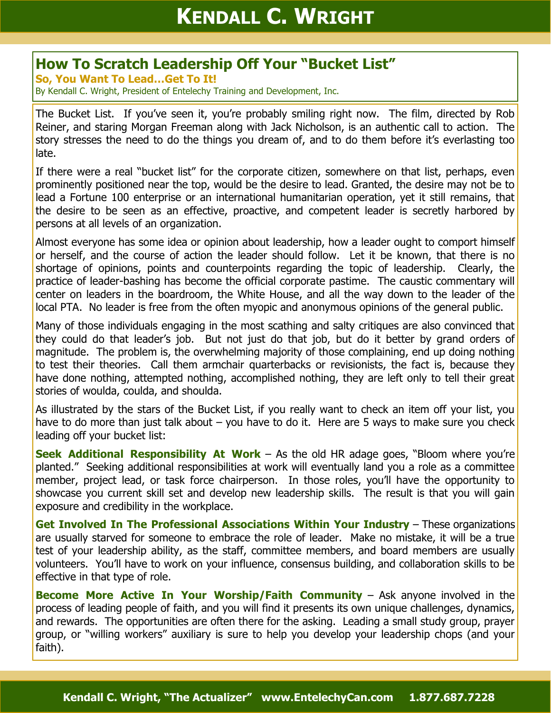## **How To Scratch Leadership Off Your "Bucket List"**

**So, You Want To Lead…Get To It!** 

By Kendall C. Wright, President of Entelechy Training and Development, Inc.

The Bucket List. If you've seen it, you're probably smiling right now. The film, directed by Rob Reiner, and staring Morgan Freeman along with Jack Nicholson, is an authentic call to action. The story stresses the need to do the things you dream of, and to do them before it's everlasting too late.

If there were a real "bucket list" for the corporate citizen, somewhere on that list, perhaps, even prominently positioned near the top, would be the desire to lead. Granted, the desire may not be to lead a Fortune 100 enterprise or an international humanitarian operation, yet it still remains, that the desire to be seen as an effective, proactive, and competent leader is secretly harbored by persons at all levels of an organization.

Almost everyone has some idea or opinion about leadership, how a leader ought to comport himself or herself, and the course of action the leader should follow. Let it be known, that there is no shortage of opinions, points and counterpoints regarding the topic of leadership. Clearly, the practice of leader-bashing has become the official corporate pastime. The caustic commentary will center on leaders in the boardroom, the White House, and all the way down to the leader of the local PTA. No leader is free from the often myopic and anonymous opinions of the general public.

Many of those individuals engaging in the most scathing and salty critiques are also convinced that they could do that leader's job. But not just do that job, but do it better by grand orders of magnitude. The problem is, the overwhelming majority of those complaining, end up doing nothing to test their theories. Call them armchair quarterbacks or revisionists, the fact is, because they have done nothing, attempted nothing, accomplished nothing, they are left only to tell their great stories of woulda, coulda, and shoulda.

As illustrated by the stars of the Bucket List, if you really want to check an item off your list, you have to do more than just talk about – you have to do it. Here are 5 ways to make sure you check leading off your bucket list:

**Seek Additional Responsibility At Work** – As the old HR adage goes, "Bloom where you're planted." Seeking additional responsibilities at work will eventually land you a role as a committee member, project lead, or task force chairperson. In those roles, you'll have the opportunity to showcase you current skill set and develop new leadership skills. The result is that you will gain exposure and credibility in the workplace.

**Get Involved In The Professional Associations Within Your Industry** – These organizations are usually starved for someone to embrace the role of leader. Make no mistake, it will be a true test of your leadership ability, as the staff, committee members, and board members are usually volunteers. You'll have to work on your influence, consensus building, and collaboration skills to be effective in that type of role.

**Become More Active In Your Worship/Faith Community** – Ask anyone involved in the process of leading people of faith, and you will find it presents its own unique challenges, dynamics, and rewards. The opportunities are often there for the asking. Leading a small study group, prayer group, or "willing workers" auxiliary is sure to help you develop your leadership chops (and your faith).